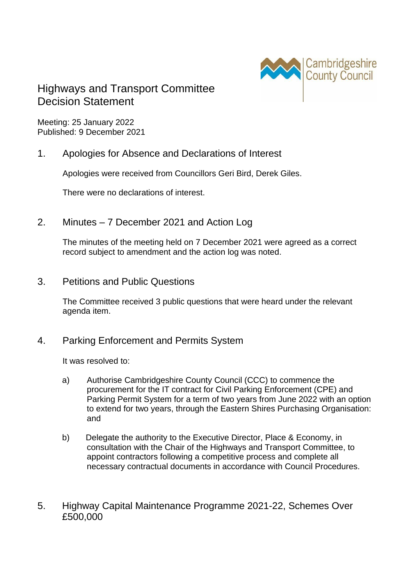

## Highways and Transport Committee Decision Statement

Meeting: 25 January 2022 Published: 9 December 2021

1. Apologies for Absence and Declarations of Interest

Apologies were received from Councillors Geri Bird, Derek Giles.

There were no declarations of interest.

2. Minutes – 7 December 2021 and Action Log

The minutes of the meeting held on 7 December 2021 were agreed as a correct record subject to amendment and the action log was noted.

3. Petitions and Public Questions

The Committee received 3 public questions that were heard under the relevant agenda item.

4. Parking Enforcement and Permits System

It was resolved to:

- a) Authorise Cambridgeshire County Council (CCC) to commence the procurement for the IT contract for Civil Parking Enforcement (CPE) and Parking Permit System for a term of two years from June 2022 with an option to extend for two years, through the Eastern Shires Purchasing Organisation: and
- b) Delegate the authority to the Executive Director, Place & Economy, in consultation with the Chair of the Highways and Transport Committee, to appoint contractors following a competitive process and complete all necessary contractual documents in accordance with Council Procedures.
- 5. Highway Capital Maintenance Programme 2021-22, Schemes Over £500,000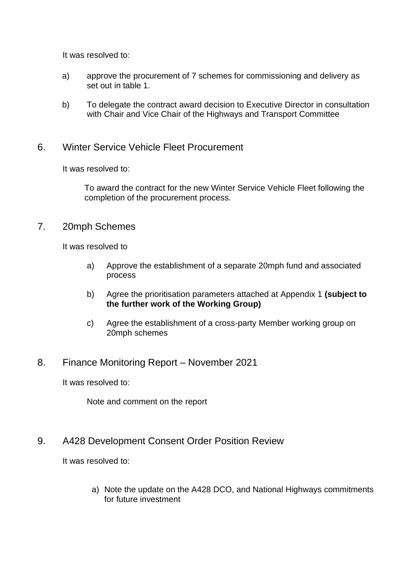It was resolved to:

- a) approve the procurement of 7 schemes for commissioning and delivery as set out in table 1.
- b) To delegate the contract award decision to Executive Director in consultation with Chair and Vice Chair of the Highways and Transport Committee

## 6. Winter Service Vehicle Fleet Procurement

It was resolved to:

To award the contract for the new Winter Service Vehicle Fleet following the completion of the procurement process.

## 7. 20mph Schemes

It was resolved to

- a) Approve the establishment of a separate 20mph fund and associated process
- b) Agree the prioritisation parameters attached at Appendix 1 **(subject to the further work of the Working Group)**
- c) Agree the establishment of a cross-party Member working group on 20mph schemes
- 8. Finance Monitoring Report November 2021

It was resolved to:

Note and comment on the report

## 9. A428 Development Consent Order Position Review

It was resolved to:

a) Note the update on the A428 DCO, and National Highways commitments for future investment